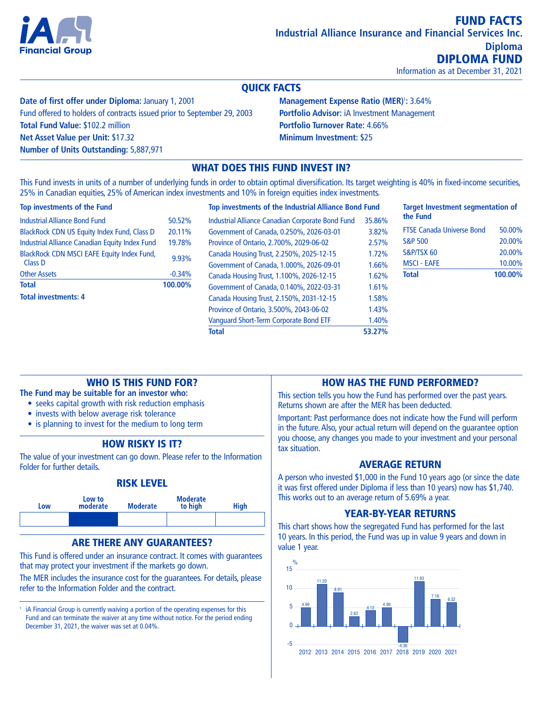

Information as at December 31, 2021

# QUICK FACTS

**Date of first offer under Diploma:** January 1, 2001 Fund offered to holders of contracts issued prior to September 29, 2003 **Total Fund Value:** \$102.2 million **Net Asset Value per Unit:** \$17.32 **Number of Units Outstanding:** 5,887,971

**Management Expense Ratio (MER)<sup>1</sup>: 3.64% Portfolio Advisor:** iA Investment Management **Portfolio Turnover Rate:** 4.66% **Minimum Investment:** \$25

# WHAT DOES THIS FUND INVEST IN?

This Fund invests in units of a number of underlying funds in order to obtain optimal diversification. Its target weighting is 40% in fixed-income securities, 25% in Canadian equities, 25% of American index investments and 10% in foreign equities index investments.

#### **Top investments of the Fund**

| <b>Total investments: 4</b>                           |          |
|-------------------------------------------------------|----------|
| <b>Total</b>                                          | 100.00%  |
| <b>Other Assets</b>                                   | $-0.34%$ |
| BlackRock CDN MSCI EAFE Equity Index Fund,<br>Class D | 9.93%    |
| Industrial Alliance Canadian Equity Index Fund        | 19.78%   |
| <b>BlackRock CDN US Equity Index Fund, Class D</b>    | 20.11%   |
| <b>Industrial Alliance Bond Fund</b>                  | 50.52%   |
|                                                       |          |

|   | Top investments of the Industrial Alliance Bond Fund | <b>Target Investment segmentation of</b> |                                  |         |
|---|------------------------------------------------------|------------------------------------------|----------------------------------|---------|
| 6 | Industrial Alliance Canadian Corporate Bond Fund     | 35.86%                                   | the Fund                         |         |
| 6 | Government of Canada, 0.250%, 2026-03-01             | 3.82%                                    | <b>FTSE Canada Universe Bond</b> | 50.00%  |
| 6 | Province of Ontario, 2.700%, 2029-06-02              | 2.57%                                    | <b>S&amp;P 500</b>               | 20.00%  |
| 6 | Canada Housing Trust, 2.250%, 2025-12-15             | 1.72%                                    | S&P/TSX 60                       | 20.00%  |
|   | Government of Canada, 1.000%, 2026-09-01             | 1.66%                                    | <b>MSCI - EAFE</b>               | 10.00%  |
|   | Canada Housing Trust, 1.100%, 2026-12-15             | 1.62%                                    | Total                            | 100.00% |
| 6 | Government of Canada, 0.140%, 2022-03-31             | 1.61%                                    |                                  |         |
|   | Canada Housing Trust, 2.150%, 2031-12-15             | 1.58%                                    |                                  |         |
|   | Province of Ontario, 3.500%, 2043-06-02              | 1.43%                                    |                                  |         |
|   | Vanguard Short-Term Corporate Bond ETF               | 1.40%                                    |                                  |         |
|   | <b>Total</b>                                         | 53.27%                                   |                                  |         |
|   |                                                      |                                          |                                  |         |

# WHO IS THIS FUND FOR?

**The Fund may be suitable for an investor who:**

- seeks capital growth with risk reduction emphasis
- invests with below average risk tolerance
- is planning to invest for the medium to long term

# HOW RISKY IS IT?

The value of your investment can go down. Please refer to the Information Folder for further details.

#### RISK LEVEL



#### ARE THERE ANY GUARANTEES?

This Fund is offered under an insurance contract. It comes with guarantees that may protect your investment if the markets go down.

The MER includes the insurance cost for the guarantees. For details, please refer to the Information Folder and the contract.

<sup>1</sup> iA Financial Group is currently waiving a portion of the operating expenses for this Fund and can terminate the waiver at any time without notice. For the period ending December 31, 2021, the waiver was set at 0.04%.

### HOW HAS THE FUND PERFORMED?

This section tells you how the Fund has performed over the past years. Returns shown are after the MER has been deducted.

Important: Past performance does not indicate how the Fund will perform in the future. Also, your actual return will depend on the guarantee option you choose, any changes you made to your investment and your personal tax situation.

## AVERAGE RETURN

A person who invested \$1,000 in the Fund 10 years ago (or since the date it was first offered under Diploma if less than 10 years) now has \$1,740. This works out to an average return of 5.69% a year.

#### YEAR-BY-YEAR RETURNS

This chart shows how the segregated Fund has performed for the last 10 years. In this period, the Fund was up in value 9 years and down in value 1 year.